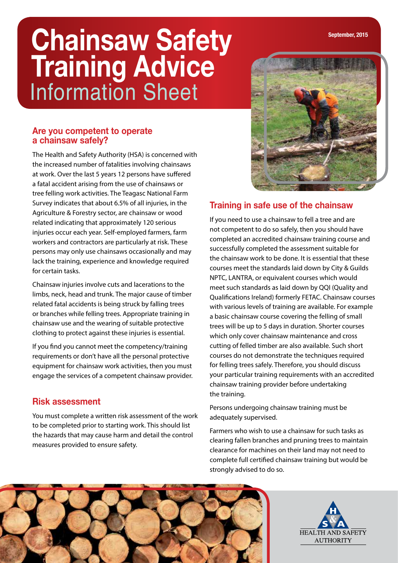# **Chainsaw Safety Training Advice** Information Sheet

### **Are you competent to operate a chainsaw safely?**

The Health and Safety Authority (HSA) is concerned with the increased number of fatalities involving chainsaws at work. Over the last 5 years 12 persons have suffered a fatal accident arising from the use of chainsaws or tree felling work activities. The Teagasc National Farm Survey indicates that about 6.5% of all injuries, in the Agriculture & Forestry sector, are chainsaw or wood related indicating that approximately 120 serious injuries occur each year. Self-employed farmers, farm workers and contractors are particularly at risk. These persons may only use chainsaws occasionally and may lack the training, experience and knowledge required for certain tasks.

Chainsaw injuries involve cuts and lacerations to the limbs, neck, head and trunk. The major cause of timber related fatal accidents is being struck by falling trees or branches while felling trees. Appropriate training in chainsaw use and the wearing of suitable protective clothing to protect against these injuries is essential.

If you find you cannot meet the competency/training requirements or don't have all the personal protective equipment for chainsaw work activities, then you must engage the services of a competent chainsaw provider.

# **Risk assessment**

You must complete a written risk assessment of the work to be completed prior to starting work. This should list the hazards that may cause harm and detail the control measures provided to ensure safety.



# **Training in safe use of the chainsaw**

If you need to use a chainsaw to fell a tree and are not competent to do so safely, then you should have completed an accredited chainsaw training course and successfully completed the assessment suitable for the chainsaw work to be done. It is essential that these courses meet the standards laid down by City & Guilds NPTC, LANTRA, or equivalent courses which would meet such standards as laid down by QQI (Quality and Qualifications Ireland) formerly FETAC. Chainsaw courses with various levels of training are available. For example a basic chainsaw course covering the felling of small trees will be up to 5 days in duration. Shorter courses which only cover chainsaw maintenance and cross cutting of felled timber are also available. Such short courses do not demonstrate the techniques required for felling trees safely. Therefore, you should discuss your particular training requirements with an accredited chainsaw training provider before undertaking the training.

Persons undergoing chainsaw training must be adequately supervised.

Farmers who wish to use a chainsaw for such tasks as clearing fallen branches and pruning trees to maintain clearance for machines on their land may not need to complete full certified chainsaw training but would be strongly advised to do so.